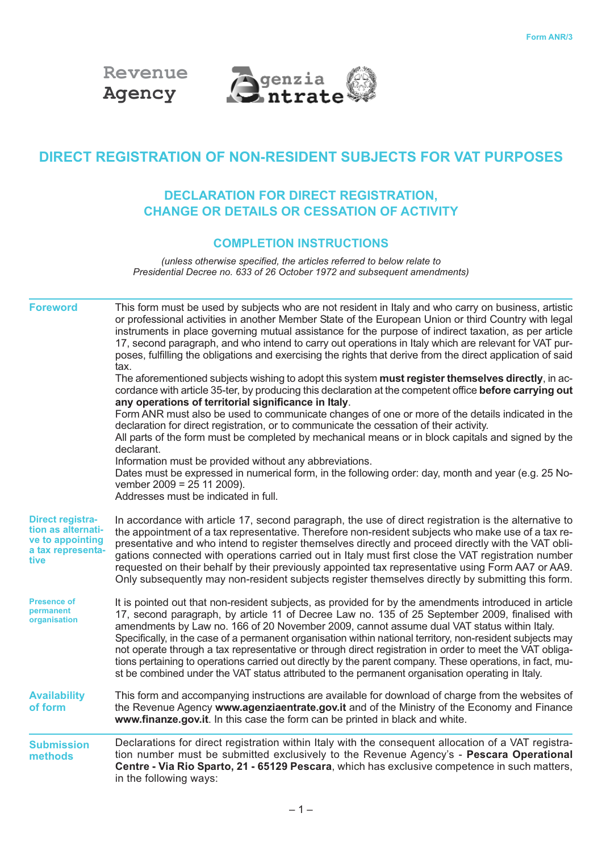



# **DIRECT REGISTRATION OF NON-RESIDENT SUBJECTS FOR VAT PURPOSES**

# **DECLARATION FOR DIRECT REGISTRATION, CHANGE OR DETAILS OR CESSATION OF ACTIVITY**

## **COMPLETION INSTRUCTIONS**

*(unless otherwise specified, the articles referred to below relate to Presidential Decree no. 633 of 26 October 1972 and subsequent amendments)*

| <b>Foreword</b>                                                                                | This form must be used by subjects who are not resident in Italy and who carry on business, artistic<br>or professional activities in another Member State of the European Union or third Country with legal<br>instruments in place governing mutual assistance for the purpose of indirect taxation, as per article<br>17, second paragraph, and who intend to carry out operations in Italy which are relevant for VAT pur-<br>poses, fulfilling the obligations and exercising the rights that derive from the direct application of said<br>tax.<br>The aforementioned subjects wishing to adopt this system must register themselves directly, in ac-<br>cordance with article 35-ter, by producing this declaration at the competent office before carrying out<br>any operations of territorial significance in Italy.<br>Form ANR must also be used to communicate changes of one or more of the details indicated in the<br>declaration for direct registration, or to communicate the cessation of their activity.<br>All parts of the form must be completed by mechanical means or in block capitals and signed by the<br>declarant.<br>Information must be provided without any abbreviations.<br>Dates must be expressed in numerical form, in the following order: day, month and year (e.g. 25 No-<br>vember $2009 = 25112009$ ).<br>Addresses must be indicated in full. |
|------------------------------------------------------------------------------------------------|--------------------------------------------------------------------------------------------------------------------------------------------------------------------------------------------------------------------------------------------------------------------------------------------------------------------------------------------------------------------------------------------------------------------------------------------------------------------------------------------------------------------------------------------------------------------------------------------------------------------------------------------------------------------------------------------------------------------------------------------------------------------------------------------------------------------------------------------------------------------------------------------------------------------------------------------------------------------------------------------------------------------------------------------------------------------------------------------------------------------------------------------------------------------------------------------------------------------------------------------------------------------------------------------------------------------------------------------------------------------------------------------|
| <b>Direct registra-</b><br>tion as alternati-<br>ve to appointing<br>a tax representa-<br>tive | In accordance with article 17, second paragraph, the use of direct registration is the alternative to<br>the appointment of a tax representative. Therefore non-resident subjects who make use of a tax re-<br>presentative and who intend to register themselves directly and proceed directly with the VAT obli-<br>gations connected with operations carried out in Italy must first close the VAT registration number<br>requested on their behalf by their previously appointed tax representative using Form AA7 or AA9.<br>Only subsequently may non-resident subjects register themselves directly by submitting this form.                                                                                                                                                                                                                                                                                                                                                                                                                                                                                                                                                                                                                                                                                                                                                        |
| <b>Presence of</b><br>permanent<br>organisation                                                | It is pointed out that non-resident subjects, as provided for by the amendments introduced in article<br>17, second paragraph, by article 11 of Decree Law no. 135 of 25 September 2009, finalised with<br>amendments by Law no. 166 of 20 November 2009, cannot assume dual VAT status within Italy.<br>Specifically, in the case of a permanent organisation within national territory, non-resident subjects may<br>not operate through a tax representative or through direct registration in order to meet the VAT obliga-<br>tions pertaining to operations carried out directly by the parent company. These operations, in fact, mu-<br>st be combined under the VAT status attributed to the permanent organisation operating in Italy.                                                                                                                                                                                                                                                                                                                                                                                                                                                                                                                                                                                                                                           |
| <b>Availability</b><br>of form                                                                 | This form and accompanying instructions are available for download of charge from the websites of<br>the Revenue Agency www.agenziaentrate.gov.it and of the Ministry of the Economy and Finance<br>www.finanze.gov.it. In this case the form can be printed in black and white.                                                                                                                                                                                                                                                                                                                                                                                                                                                                                                                                                                                                                                                                                                                                                                                                                                                                                                                                                                                                                                                                                                           |
| <b>Submission</b><br>methods                                                                   | Declarations for direct registration within Italy with the consequent allocation of a VAT registra-<br>tion number must be submitted exclusively to the Revenue Agency's - Pescara Operational<br>Centre - Via Rio Sparto, 21 - 65129 Pescara, which has exclusive competence in such matters,<br>in the following ways:                                                                                                                                                                                                                                                                                                                                                                                                                                                                                                                                                                                                                                                                                                                                                                                                                                                                                                                                                                                                                                                                   |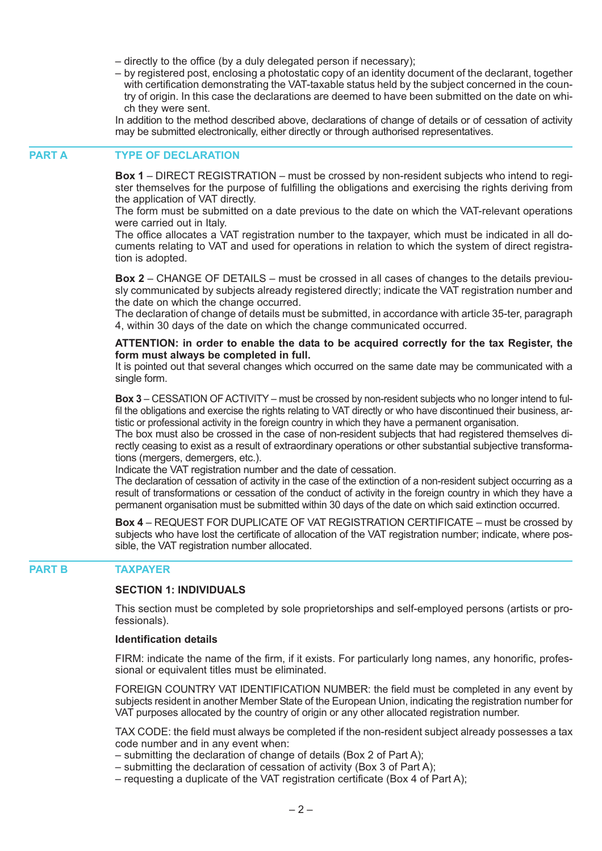- directly to the office (by a duly delegated person if necessary);
- by registered post, enclosing a photostatic copy of an identity document of the declarant, together with certification demonstrating the VAT-taxable status held by the subject concerned in the country of origin. In this case the declarations are deemed to have been submitted on the date on which they were sent.

In addition to the method described above, declarations of change of details or of cessation of activity may be submitted electronically, either directly or through authorised representatives.

#### **TYPE OF DECLARATION PART A**

**Box 1** – DIRECT REGISTRATION – must be crossed by non-resident subjects who intend to register themselves for the purpose of fulfilling the obligations and exercising the rights deriving from the application of VAT directly.

The form must be submitted on a date previous to the date on which the VAT-relevant operations were carried out in Italy.

The office allocates a VAT registration number to the taxpayer, which must be indicated in all documents relating to VAT and used for operations in relation to which the system of direct registration is adopted.

**Box 2** – CHANGE OF DETAILS – must be crossed in all cases of changes to the details previously communicated by subjects already registered directly; indicate the VAT registration number and the date on which the change occurred.

The declaration of change of details must be submitted, in accordance with article 35-ter, paragraph 4, within 30 days of the date on which the change communicated occurred.

#### **ATTENTION: in order to enable the data to be acquired correctly for the tax Register, the form must always be completed in full.**

It is pointed out that several changes which occurred on the same date may be communicated with a single form.

**Box 3** – CESSATION OF ACTIVITY – must be crossed by non-resident subjects who no longer intend to fulfil the obligations and exercise the rights relating to VAT directly or who have discontinued their business, artistic or professional activity in the foreign country in which they have a permanent organisation.

The box must also be crossed in the case of non-resident subjects that had registered themselves directly ceasing to exist as a result of extraordinary operations or other substantial subjective transformations (mergers, demergers, etc.).

Indicate the VAT registration number and the date of cessation.

The declaration of cessation of activity in the case of the extinction of a non-resident subject occurring as a result of transformations or cessation of the conduct of activity in the foreign country in which they have a permanent organisation must be submitted within 30 days of the date on which said extinction occurred.

**Box 4** – REQUEST FOR DUPLICATE OF VAT REGISTRATION CERTIFICATE – must be crossed by subjects who have lost the certificate of allocation of the VAT registration number; indicate, where possible, the VAT registration number allocated.

#### **TAXPAYER PART B**

#### **SECTION 1: INDIVIDUALS**

This section must be completed by sole proprietorships and self-employed persons (artists or professionals).

#### **Identification details**

FIRM: indicate the name of the firm, if it exists. For particularly long names, any honorific, professional or equivalent titles must be eliminated.

FOREIGN COUNTRY VAT IDENTIFICATION NUMBER: the field must be completed in any event by subjects resident in another Member State of the European Union, indicating the registration number for VAT purposes allocated by the country of origin or any other allocated registration number.

TAX CODE: the field must always be completed if the non-resident subject already possesses a tax code number and in any event when:

- submitting the declaration of change of details (Box 2 of Part A);
- submitting the declaration of cessation of activity (Box 3 of Part A);
- requesting a duplicate of the VAT registration certificate (Box 4 of Part A);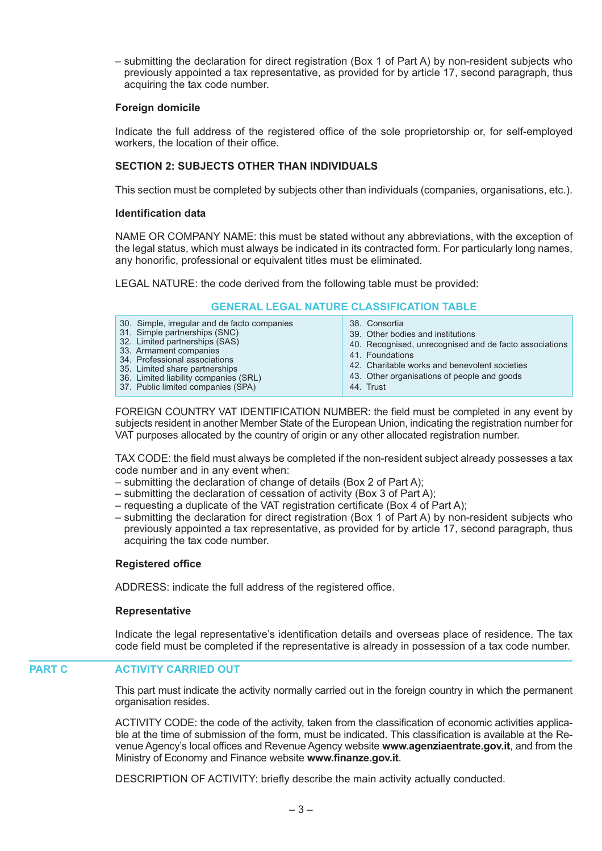– submitting the declaration for direct registration (Box 1 of Part A) by non-resident subjects who previously appointed a tax representative, as provided for by article 17, second paragraph, thus acquiring the tax code number.

#### **Foreign domicile**

Indicate the full address of the registered office of the sole proprietorship or, for self-employed workers, the location of their office.

## **SECTION 2: SUBJECTS OTHER THAN INDIVIDUALS**

This section must be completed by subjects other than individuals (companies, organisations, etc.).

#### **Identification data**

NAME OR COMPANY NAME: this must be stated without any abbreviations, with the exception of the legal status, which must always be indicated in its contracted form. For particularly long names, any honorific, professional or equivalent titles must be eliminated.

LEGAL NATURE: the code derived from the following table must be provided:

### **GENERAL LEGAL NATURE CLASSIFICATION TABLE**

| 30. Simple, irregular and de facto companies<br>31. Simple partnerships (SNC)<br>32. Limited partnerships (SAS)<br>33. Armament companies<br>34. Professional associations<br>35. Limited share partnerships<br>36. Limited liability companies (SRL)<br>37. Public limited companies (SPA) | 38. Consortia<br>39. Other bodies and institutions<br>40. Recognised, unrecognised and de facto associations<br>41. Foundations<br>42. Charitable works and benevolent societies<br>43. Other organisations of people and goods<br>44. Trust |
|---------------------------------------------------------------------------------------------------------------------------------------------------------------------------------------------------------------------------------------------------------------------------------------------|----------------------------------------------------------------------------------------------------------------------------------------------------------------------------------------------------------------------------------------------|
|---------------------------------------------------------------------------------------------------------------------------------------------------------------------------------------------------------------------------------------------------------------------------------------------|----------------------------------------------------------------------------------------------------------------------------------------------------------------------------------------------------------------------------------------------|

FOREIGN COUNTRY VAT IDENTIFICATION NUMBER: the field must be completed in any event by subjects resident in another Member State of the European Union, indicating the registration number for VAT purposes allocated by the country of origin or any other allocated registration number.

TAX CODE: the field must always be completed if the non-resident subject already possesses a tax code number and in any event when:

- submitting the declaration of change of details (Box 2 of Part A);
- submitting the declaration of cessation of activity (Box 3 of Part A);
- requesting a duplicate of the VAT registration certificate (Box 4 of Part A);
- submitting the declaration for direct registration (Box 1 of Part A) by non-resident subjects who previously appointed a tax representative, as provided for by article 17, second paragraph, thus acquiring the tax code number.

### **Registered office**

ADDRESS: indicate the full address of the registered office.

### **Representative**

Indicate the legal representative's identification details and overseas place of residence. The tax code field must be completed if the representative is already in possession of a tax code number.

#### **ACTIVITY CARRIED OUT PART C**

This part must indicate the activity normally carried out in the foreign country in which the permanent organisation resides.

ACTIVITY CODE: the code of the activity, taken from the classification of economic activities applicable at the time of submission of the form, must be indicated. This classification is available at the Revenue Agency's local offices and Revenue Agency website **www.agenziaentrate.gov.it**, and from the Ministry of Economy and Finance website **www.finanze.gov.it**.

DESCRIPTION OF ACTIVITY: briefly describe the main activity actually conducted.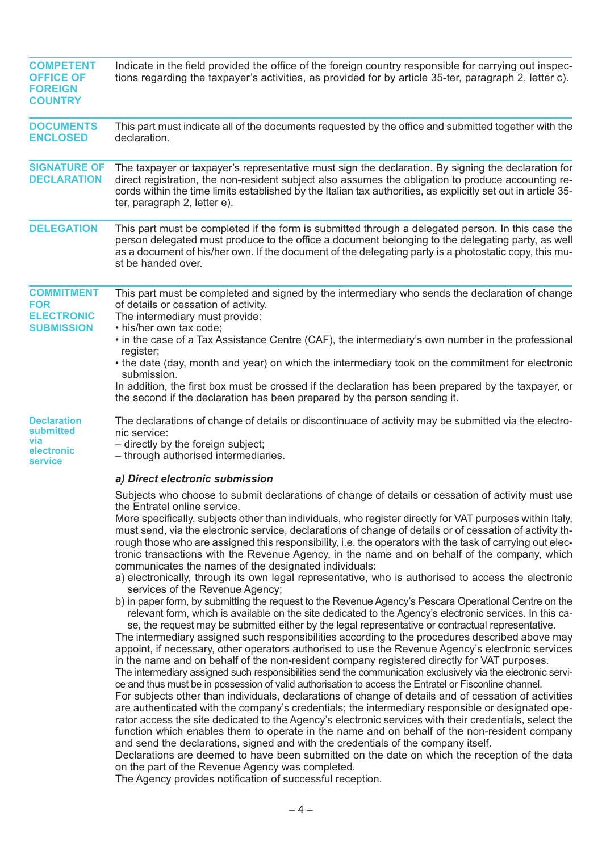| <b>COMPETENT</b><br><b>OFFICE OF</b><br><b>FOREIGN</b><br><b>COUNTRY</b>  | Indicate in the field provided the office of the foreign country responsible for carrying out inspec-<br>tions regarding the taxpayer's activities, as provided for by article 35-ter, paragraph 2, letter c).                                                                                                                                                                                                                                                                                                                                                                                                                                                                                                                                                                                                                                                                                                                                                                                                                                                                                                                                                                                                                                                                                                                                                                                                                                                                                                                                                                                                                                                                                                                                                                                                                                                                                                                                                                                                                                                                                                                                                                                                                                                                                                                                                      |
|---------------------------------------------------------------------------|---------------------------------------------------------------------------------------------------------------------------------------------------------------------------------------------------------------------------------------------------------------------------------------------------------------------------------------------------------------------------------------------------------------------------------------------------------------------------------------------------------------------------------------------------------------------------------------------------------------------------------------------------------------------------------------------------------------------------------------------------------------------------------------------------------------------------------------------------------------------------------------------------------------------------------------------------------------------------------------------------------------------------------------------------------------------------------------------------------------------------------------------------------------------------------------------------------------------------------------------------------------------------------------------------------------------------------------------------------------------------------------------------------------------------------------------------------------------------------------------------------------------------------------------------------------------------------------------------------------------------------------------------------------------------------------------------------------------------------------------------------------------------------------------------------------------------------------------------------------------------------------------------------------------------------------------------------------------------------------------------------------------------------------------------------------------------------------------------------------------------------------------------------------------------------------------------------------------------------------------------------------------------------------------------------------------------------------------------------------------|
| <b>DOCUMENTS</b><br><b>ENCLOSED</b>                                       | This part must indicate all of the documents requested by the office and submitted together with the<br>declaration.                                                                                                                                                                                                                                                                                                                                                                                                                                                                                                                                                                                                                                                                                                                                                                                                                                                                                                                                                                                                                                                                                                                                                                                                                                                                                                                                                                                                                                                                                                                                                                                                                                                                                                                                                                                                                                                                                                                                                                                                                                                                                                                                                                                                                                                |
| <b>SIGNATURE OF</b><br><b>DECLARATION</b>                                 | The taxpayer or taxpayer's representative must sign the declaration. By signing the declaration for<br>direct registration, the non-resident subject also assumes the obligation to produce accounting re-<br>cords within the time limits established by the Italian tax authorities, as explicitly set out in article 35-<br>ter, paragraph 2, letter e).                                                                                                                                                                                                                                                                                                                                                                                                                                                                                                                                                                                                                                                                                                                                                                                                                                                                                                                                                                                                                                                                                                                                                                                                                                                                                                                                                                                                                                                                                                                                                                                                                                                                                                                                                                                                                                                                                                                                                                                                         |
| <b>DELEGATION</b>                                                         | This part must be completed if the form is submitted through a delegated person. In this case the<br>person delegated must produce to the office a document belonging to the delegating party, as well<br>as a document of his/her own. If the document of the delegating party is a photostatic copy, this mu-<br>st be handed over.                                                                                                                                                                                                                                                                                                                                                                                                                                                                                                                                                                                                                                                                                                                                                                                                                                                                                                                                                                                                                                                                                                                                                                                                                                                                                                                                                                                                                                                                                                                                                                                                                                                                                                                                                                                                                                                                                                                                                                                                                               |
| <b>COMMITMENT</b><br><b>FOR</b><br><b>ELECTRONIC</b><br><b>SUBMISSION</b> | This part must be completed and signed by the intermediary who sends the declaration of change<br>of details or cessation of activity.<br>The intermediary must provide:<br>• his/her own tax code:                                                                                                                                                                                                                                                                                                                                                                                                                                                                                                                                                                                                                                                                                                                                                                                                                                                                                                                                                                                                                                                                                                                                                                                                                                                                                                                                                                                                                                                                                                                                                                                                                                                                                                                                                                                                                                                                                                                                                                                                                                                                                                                                                                 |
|                                                                           | • in the case of a Tax Assistance Centre (CAF), the intermediary's own number in the professional<br>register;                                                                                                                                                                                                                                                                                                                                                                                                                                                                                                                                                                                                                                                                                                                                                                                                                                                                                                                                                                                                                                                                                                                                                                                                                                                                                                                                                                                                                                                                                                                                                                                                                                                                                                                                                                                                                                                                                                                                                                                                                                                                                                                                                                                                                                                      |
|                                                                           | • the date (day, month and year) on which the intermediary took on the commitment for electronic<br>submission.                                                                                                                                                                                                                                                                                                                                                                                                                                                                                                                                                                                                                                                                                                                                                                                                                                                                                                                                                                                                                                                                                                                                                                                                                                                                                                                                                                                                                                                                                                                                                                                                                                                                                                                                                                                                                                                                                                                                                                                                                                                                                                                                                                                                                                                     |
|                                                                           | In addition, the first box must be crossed if the declaration has been prepared by the taxpayer, or<br>the second if the declaration has been prepared by the person sending it.                                                                                                                                                                                                                                                                                                                                                                                                                                                                                                                                                                                                                                                                                                                                                                                                                                                                                                                                                                                                                                                                                                                                                                                                                                                                                                                                                                                                                                                                                                                                                                                                                                                                                                                                                                                                                                                                                                                                                                                                                                                                                                                                                                                    |
| <b>Declaration</b><br>submitted<br>via<br>electronic<br>service           | The declarations of change of details or discontinuace of activity may be submitted via the electro-<br>nic service:<br>- directly by the foreign subject;<br>- through authorised intermediaries.                                                                                                                                                                                                                                                                                                                                                                                                                                                                                                                                                                                                                                                                                                                                                                                                                                                                                                                                                                                                                                                                                                                                                                                                                                                                                                                                                                                                                                                                                                                                                                                                                                                                                                                                                                                                                                                                                                                                                                                                                                                                                                                                                                  |
|                                                                           | a) Direct electronic submission                                                                                                                                                                                                                                                                                                                                                                                                                                                                                                                                                                                                                                                                                                                                                                                                                                                                                                                                                                                                                                                                                                                                                                                                                                                                                                                                                                                                                                                                                                                                                                                                                                                                                                                                                                                                                                                                                                                                                                                                                                                                                                                                                                                                                                                                                                                                     |
|                                                                           | Subjects who choose to submit declarations of change of details or cessation of activity must use<br>the Entratel online service.<br>More specifically, subjects other than individuals, who register directly for VAT purposes within Italy,<br>must send, via the electronic service, declarations of change of details or of cessation of activity th-<br>rough those who are assigned this responsibility, i.e. the operators with the task of carrying out elec-<br>tronic transactions with the Revenue Agency, in the name and on behalf of the company, which<br>communicates the names of the designated individuals:<br>a) electronically, through its own legal representative, who is authorised to access the electronic<br>services of the Revenue Agency;<br>b) in paper form, by submitting the request to the Revenue Agency's Pescara Operational Centre on the<br>relevant form, which is available on the site dedicated to the Agency's electronic services. In this ca-<br>se, the request may be submitted either by the legal representative or contractual representative.<br>The intermediary assigned such responsibilities according to the procedures described above may<br>appoint, if necessary, other operators authorised to use the Revenue Agency's electronic services<br>in the name and on behalf of the non-resident company registered directly for VAT purposes.<br>The intermediary assigned such responsibilities send the communication exclusively via the electronic servi-<br>ce and thus must be in possession of valid authorisation to access the Entratel or Fisconline channel.<br>For subjects other than individuals, declarations of change of details and of cessation of activities<br>are authenticated with the company's credentials; the intermediary responsible or designated ope-<br>rator access the site dedicated to the Agency's electronic services with their credentials, select the<br>function which enables them to operate in the name and on behalf of the non-resident company<br>and send the declarations, signed and with the credentials of the company itself.<br>Declarations are deemed to have been submitted on the date on which the reception of the data<br>on the part of the Revenue Agency was completed.<br>The Agency provides notification of successful reception. |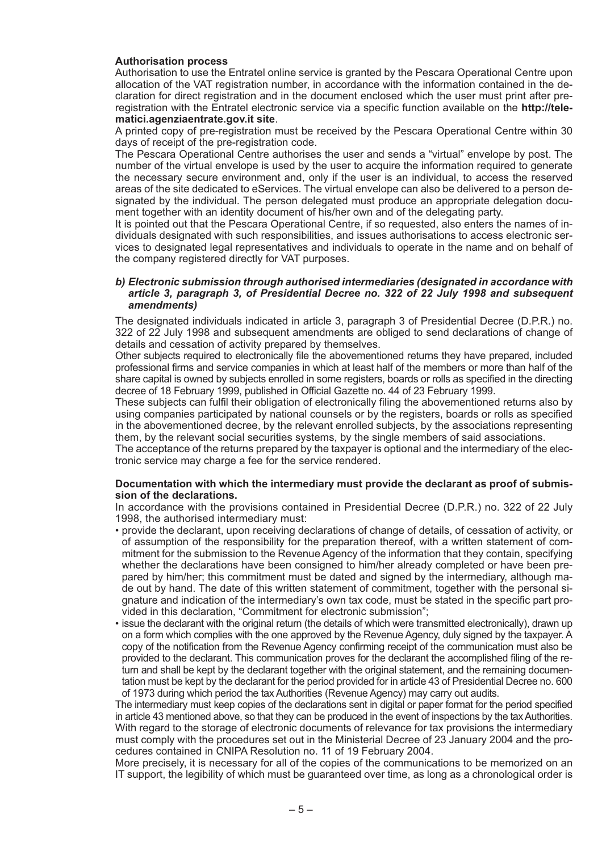#### **Authorisation process**

Authorisation to use the Entratel online service is granted by the Pescara Operational Centre upon allocation of the VAT registration number, in accordance with the information contained in the declaration for direct registration and in the document enclosed which the user must print after preregistration with the Entratel electronic service via a specific function available on the **http://telematici.agenziaentrate.gov.it site**.

A printed copy of pre-registration must be received by the Pescara Operational Centre within 30 days of receipt of the pre-registration code.

The Pescara Operational Centre authorises the user and sends a "virtual" envelope by post. The number of the virtual envelope is used by the user to acquire the information required to generate the necessary secure environment and, only if the user is an individual, to access the reserved areas of the site dedicated to eServices. The virtual envelope can also be delivered to a person designated by the individual. The person delegated must produce an appropriate delegation document together with an identity document of his/her own and of the delegating party.

It is pointed out that the Pescara Operational Centre, if so requested, also enters the names of individuals designated with such responsibilities, and issues authorisations to access electronic services to designated legal representatives and individuals to operate in the name and on behalf of the company registered directly for VAT purposes.

#### *b) Electronic submission through authorised intermediaries (designated in accordance with article 3, paragraph 3, of Presidential Decree no. 322 of 22 July 1998 and subsequent amendments)*

The designated individuals indicated in article 3, paragraph 3 of Presidential Decree (D.P.R.) no. 322 of 22 July 1998 and subsequent amendments are obliged to send declarations of change of details and cessation of activity prepared by themselves.

Other subjects required to electronically file the abovementioned returns they have prepared, included professional firms and service companies in which at least half of the members or more than half of the share capital is owned by subjects enrolled in some registers, boards or rolls as specified in the directing decree of 18 February 1999, published in Official Gazette no. 44 of 23 February 1999.

These subjects can fulfil their obligation of electronically filing the abovementioned returns also by using companies participated by national counsels or by the registers, boards or rolls as specified in the abovementioned decree, by the relevant enrolled subjects, by the associations representing them, by the relevant social securities systems, by the single members of said associations.

The acceptance of the returns prepared by the taxpayer is optional and the intermediary of the electronic service may charge a fee for the service rendered.

#### **Documentation with which the intermediary must provide the declarant as proof of submission of the declarations.**

In accordance with the provisions contained in Presidential Decree (D.P.R.) no. 322 of 22 July 1998, the authorised intermediary must:

- provide the declarant, upon receiving declarations of change of details, of cessation of activity, or of assumption of the responsibility for the preparation thereof, with a written statement of commitment for the submission to the Revenue Agency of the information that they contain, specifying whether the declarations have been consigned to him/her already completed or have been prepared by him/her; this commitment must be dated and signed by the intermediary, although made out by hand. The date of this written statement of commitment, together with the personal signature and indication of the intermediary's own tax code, must be stated in the specific part provided in this declaration, "Commitment for electronic submission";
- issue the declarant with the original return (the details of which were transmitted electronically), drawn up on a form which complies with the one approved by the Revenue Agency, duly signed by the taxpayer. A copy of the notification from the Revenue Agency confirming receipt of the communication must also be provided to the declarant. This communication proves for the declarant the accomplished filing of the return and shall be kept by the declarant together with the original statement, and the remaining documentation must be kept by the declarant for the period provided for in article 43 of Presidential Decree no. 600 of 1973 during which period the tax Authorities (Revenue Agency) may carry out audits.

The intermediary must keep copies of the declarations sent in digital or paper format for the period specified in article 43 mentioned above, so that they can be produced in the event of inspections by the tax Authorities. With regard to the storage of electronic documents of relevance for tax provisions the intermediary must comply with the procedures set out in the Ministerial Decree of 23 January 2004 and the procedures contained in CNIPA Resolution no. 11 of 19 February 2004.

More precisely, it is necessary for all of the copies of the communications to be memorized on an IT support, the legibility of which must be guaranteed over time, as long as a chronological order is